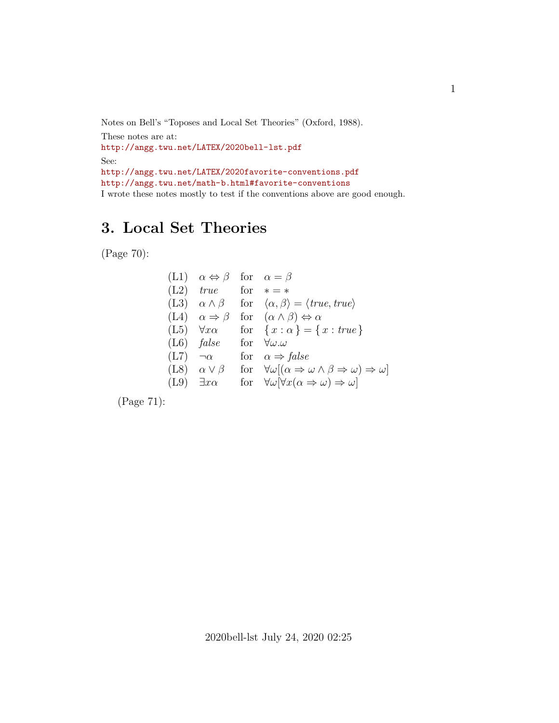Notes on Bell's "Toposes and Local Set Theories" (Oxford, 1988). These notes are at: <http://angg.twu.net/LATEX/2020bell-lst.pdf> See: <http://angg.twu.net/LATEX/2020favorite-conventions.pdf> <http://angg.twu.net/math-b.html#favorite-conventions> I wrote these notes mostly to test if the conventions above are good enough.

## **3. Local Set Theories**

(Page 70):

(L1) 
$$
\alpha \Leftrightarrow \beta
$$
 for  $\alpha = \beta$   
\n(L2) *true* for  $* = *$   
\n(L3)  $\alpha \wedge \beta$  for  $\langle \alpha, \beta \rangle = \langle true, true \rangle$   
\n(L4)  $\alpha \Rightarrow \beta$  for  $(\alpha \wedge \beta) \Leftrightarrow \alpha$   
\n(L5)  $\forall x\alpha$  for  $\{x : \alpha\} = \{x : true\}$   
\n(L6) *false* for  $\forall \omega.\omega$   
\n(L7)  $\neg \alpha$  for  $\alpha \Rightarrow false$   
\n(L8)  $\alpha \vee \beta$  for  $\forall \omega [(\alpha \Rightarrow \omega \wedge \beta \Rightarrow \omega) \Rightarrow \omega]$   
\n(L9)  $\exists x\alpha$  for  $\forall \omega [\forall x(\alpha \Rightarrow \omega) \Rightarrow \omega]$ 

(Page 71):